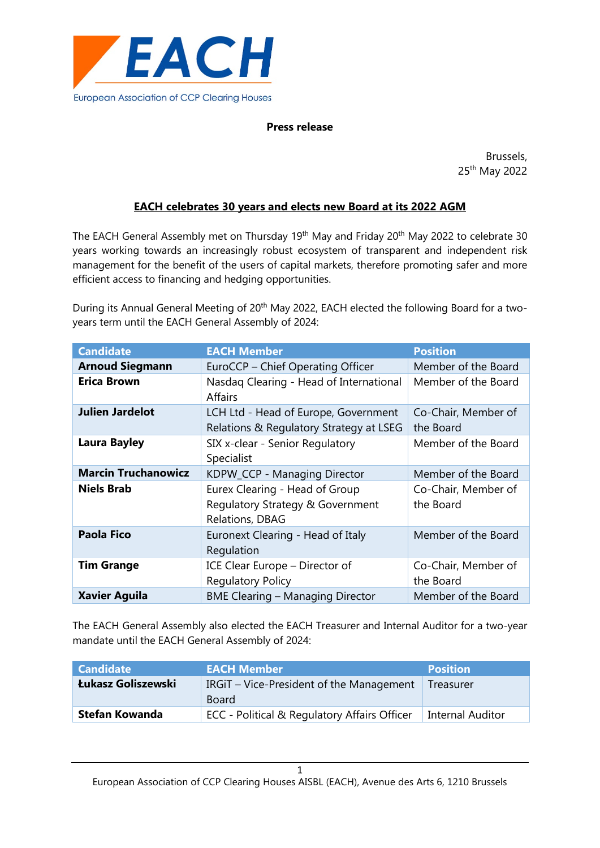

## **Press release**

Brussels, 25th May 2022

## **EACH celebrates 30 years and elects new Board at its 2022 AGM**

The EACH General Assembly met on Thursday 19<sup>th</sup> May and Friday 20<sup>th</sup> May 2022 to celebrate 30 years working towards an increasingly robust ecosystem of transparent and independent risk management for the benefit of the users of capital markets, therefore promoting safer and more efficient access to financing and hedging opportunities.

During its Annual General Meeting of 20<sup>th</sup> May 2022, EACH elected the following Board for a twoyears term until the EACH General Assembly of 2024:

| <b>Candidate</b>           | <b>EACH Member</b>                                                                    | <b>Position</b>                  |
|----------------------------|---------------------------------------------------------------------------------------|----------------------------------|
| <b>Arnoud Siegmann</b>     | EuroCCP - Chief Operating Officer                                                     | Member of the Board              |
| <b>Erica Brown</b>         | Nasdaq Clearing - Head of International<br><b>Affairs</b>                             | Member of the Board              |
| <b>Julien Jardelot</b>     | LCH Ltd - Head of Europe, Government<br>Relations & Regulatory Strategy at LSEG       | Co-Chair, Member of<br>the Board |
| <b>Laura Bayley</b>        | SIX x-clear - Senior Regulatory<br>Specialist                                         | Member of the Board              |
| <b>Marcin Truchanowicz</b> | KDPW_CCP - Managing Director                                                          | Member of the Board              |
| <b>Niels Brab</b>          | Eurex Clearing - Head of Group<br>Regulatory Strategy & Government<br>Relations, DBAG | Co-Chair, Member of<br>the Board |
| <b>Paola Fico</b>          | Euronext Clearing - Head of Italy<br>Regulation                                       | Member of the Board              |
| <b>Tim Grange</b>          | ICE Clear Europe - Director of<br><b>Regulatory Policy</b>                            | Co-Chair, Member of<br>the Board |
| <b>Xavier Aguila</b>       | <b>BME Clearing - Managing Director</b>                                               | Member of the Board              |

The EACH General Assembly also elected the EACH Treasurer and Internal Auditor for a two-year mandate until the EACH General Assembly of 2024:

| <b>Candidate</b>      | <b>EACH Member</b>                                | <b>Position</b>  |
|-----------------------|---------------------------------------------------|------------------|
| Łukasz Goliszewski    | IRGIT – Vice-President of the Management<br>Board | Treasurer        |
| <b>Stefan Kowanda</b> | ECC - Political & Regulatory Affairs Officer      | Internal Auditor |